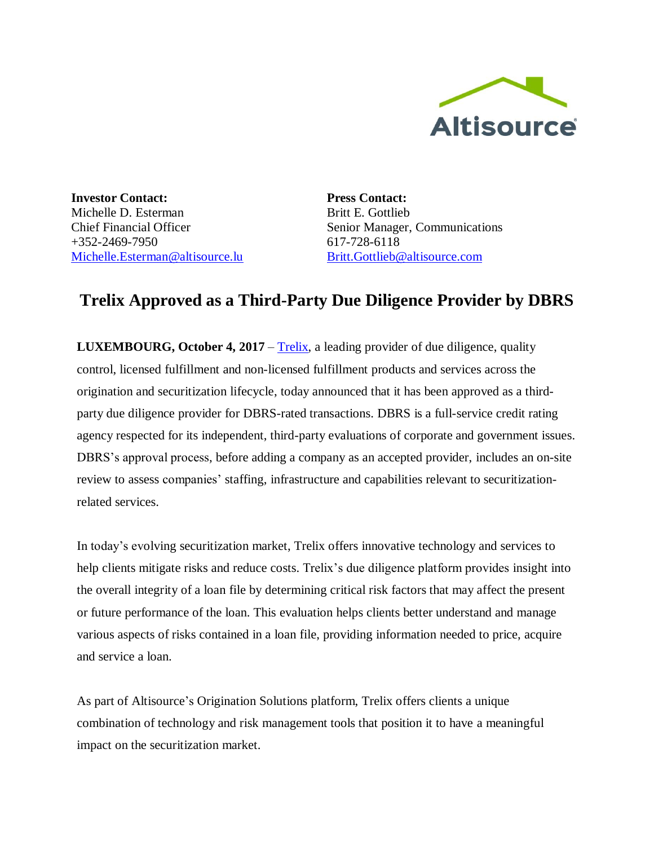

**Investor Contact:** Michelle D. Esterman Chief Financial Officer  $+352-2469-7950$ [Michelle.Esterman@altisource.lu](mailto:Michelle.Esterman@Altisource.lu)

**Press Contact:** Britt E. Gottlieb Senior Manager, Communications 617-728-6118 [Britt.Gottlieb@altisource.com](mailto:Britt.Gottlieb@altisource.com)

## **Trelix Approved as a Third-Party Due Diligence Provider by DBRS**

**LUXEMBOURG, October 4, 2017** – [Trelix,](http://www.trelix.com/?utm_campaign=TrelixDBRS&utm_source=PR&utm_medium=PR&utm_content=first) a leading provider of due diligence, quality control, licensed fulfillment and non-licensed fulfillment products and services across the origination and securitization lifecycle, today announced that it has been approved as a thirdparty due diligence provider for DBRS-rated transactions. DBRS is a full-service credit rating agency respected for its independent, third-party evaluations of corporate and government issues. DBRS's approval process, before adding a company as an accepted provider, includes an on-site review to assess companies' staffing, infrastructure and capabilities relevant to securitizationrelated services.

In today's evolving securitization market, Trelix offers innovative technology and services to help clients mitigate risks and reduce costs. Trelix's due diligence platform provides insight into the overall integrity of a loan file by determining critical risk factors that may affect the present or future performance of the loan. This evaluation helps clients better understand and manage various aspects of risks contained in a loan file, providing information needed to price, acquire and service a loan.

As part of Altisource's Origination Solutions platform, Trelix offers clients a unique combination of technology and risk management tools that position it to have a meaningful impact on the securitization market.